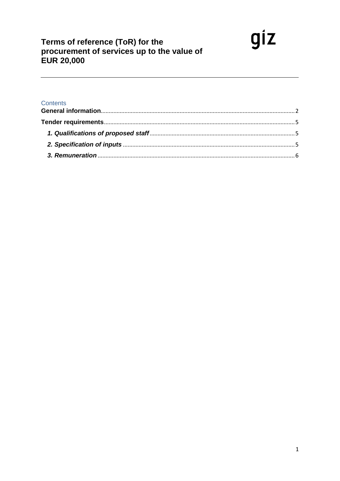# Terms of reference (ToR) for the<br>procurement of services up to the value of **EUR 20,000**

# Contents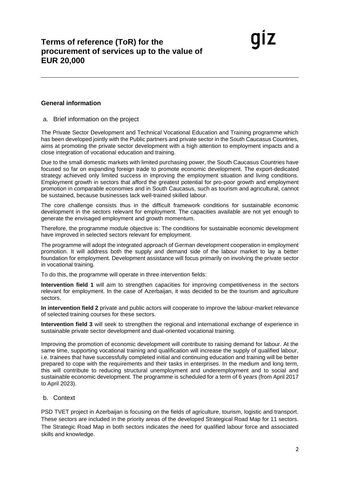### <span id="page-1-0"></span>**General information**

a. Brief information on the project

The Private Sector Development and Technical Vocational Education and Training programme which has been developed jointly with the Public partners and private sector in the South Caucasus Countries, aims at promoting the private sector development with a high attention to employment impacts and a close integration of vocational education and training.

Due to the small domestic markets with limited purchasing power, the South Caucasus Countries have focused so far on expanding foreign trade to promote economic development. The export-dedicated strategy achieved only limited success in improving the employment situation and living conditions. Employment growth in sectors that afford the greatest potential for pro-poor growth and employment promotion in comparable economies and in South Caucasus, such as tourism and agricultural, cannot be sustained, because businesses lack well-trained skilled labour.

The core challenge consists thus in the difficult framework conditions for sustainable economic development in the sectors relevant for employment. The capacities available are not yet enough to generate the envisaged employment and growth momentum.

Therefore, the programme module objective is: The conditions for sustainable economic development have improved in selected sectors relevant for employment.

The programme will adopt the integrated approach of German development cooperation in employment promotion. It will address both the supply and demand side of the labour market to lay a better foundation for employment. Development assistance will focus primarily on involving the private sector in vocational training.

To do this, the programme will operate in three intervention fields:

**Intervention field 1** will aim to strengthen capacities for improving competitiveness in the sectors relevant for employment. In the case of Azerbaijan, it was decided to be the tourism and agriculture sectors.

**In intervention field 2** private and public actors will cooperate to improve the labour-market relevance of selected training courses for these sectors.

**Intervention field 3** will seek to strengthen the regional and international exchange of experience in sustainable private sector development and dual-oriented vocational training.

Improving the promotion of economic development will contribute to raising demand for labour. At the same time, supporting vocational training and qualification will increase the supply of qualified labour, i.e. trainees that have successfully completed initial and continuing education and training will be better prepared to cope with the requirements and their tasks in enterprises. In the medium and long term, this will contribute to reducing structural unemployment and underemployment and to social and sustainable economic development. The programme is scheduled for a term of 6 years (from April 2017 to April 2023).

#### b. Context

PSD TVET project in Azerbaijan is focusing on the fields of agriculture, tourism, logistic and transport. These sectors are included in the priority areas of the developed Strategical Road Map for 11 sectors. The Strategic Road Map in both sectors indicates the need for qualified labour force and associated skills and knowledge.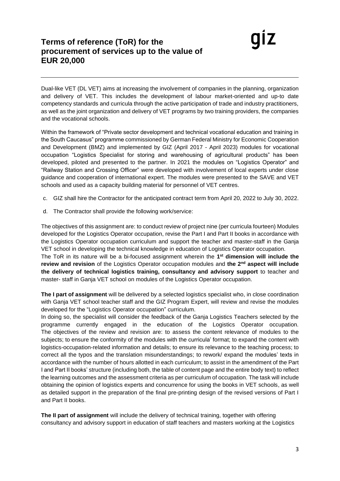# **Terms of reference (ToR) for the procurement of services up to the value of EUR 20,000**

Dual-like VET (DL VET) aims at increasing the involvement of companies in the planning, organization and delivery of VET. This includes the development of labour market-oriented and up-to date competency standards and curricula through the active participation of trade and industry practitioners, as well as the joint organization and delivery of VET programs by two training providers, the companies and the vocational schools.

Within the framework of "Private sector development and technical vocational education and training in the South Caucasus" programme commissioned by German Federal Ministry for Economic Cooperation and Development (BMZ) and implemented by GIZ (April 2017 - April 2023) modules for vocational occupation "Logistics Specialist for storing and warehousing of agricultural products" has been developed, piloted and presented to the partner. In 2021 the modules on "Logistics Operator" and "Railway Station and Crossing Officer" were developed with involvement of local experts under close guidance and cooperation of international expert. The modules were presented to the SAVE and VET schools and used as a capacity building material for personnel of VET centres.

- c. GIZ shall hire the Contractor for the anticipated contract term from April 20, 2022 to July 30, 2022.
- d. The Contractor shall provide the following work/service:

The objectives of this assignment are: to conduct review of project nine (per curricula fourteen) Modules developed for the Logistics Operator occupation, revise the Part I and Part II books in accordance with the Logistics Operator occupation curriculum and support the teacher and master-staff in the Ganja VET school in developing the technical knowledge in education of Logistics Operator occupation. The ToR in its nature will be a bi-focused assignment wherein the **1 st dimension will include the review and revision** of the Logistics Operator occupation modules and **the 2nd aspect will include the delivery of technical logistics training, consultancy and advisory support** to teacher and master- staff in Ganja VET school on modules of the Logistics Operator occupation.

**The I part of assignment** will be delivered by a selected logistics specialist who, in close coordination with Ganja VET school teacher staff and the GIZ Program Expert, will review and revise the modules developed for the "Logistics Operator occupation" curriculum.

In doing so, the specialist will consider the feedback of the Ganja Logistics Teachers selected by the programme currently engaged in the education of the Logistics Operator occupation. The objectives of the review and revision are: to assess the content relevance of modules to the subjects; to ensure the conformity of the modules with the curricula' format; to expand the content with logistics-occupation-related information and details; to ensure its relevance to the teaching process; to correct all the typos and the translation misunderstandings; to rework/ expand the modules' texts in accordance with the number of hours allotted in each curriculum; to assist in the amendment of the Part I and Part II books' structure (including both, the table of content page and the entire body text) to reflect the learning outcomes and the assessment criteria as per curriculum of occupation. The task will include obtaining the opinion of logistics experts and concurrence for using the books in VET schools, as well as detailed support in the preparation of the final pre-printing design of the revised versions of Part I and Part II books.

**The II part of assignment** will include the delivery of technical training, together with offering consultancy and advisory support in education of staff teachers and masters working at the Logistics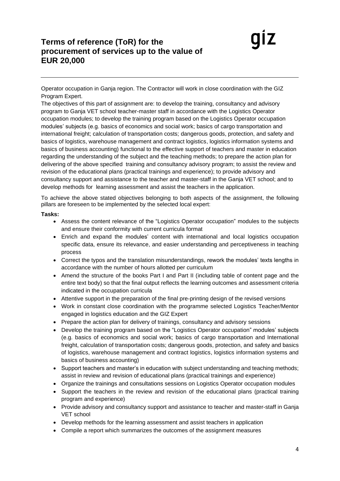Operator occupation in Ganja region. The Contractor will work in close coordination with the GIZ Program Expert.

The objectives of this part of assignment are: to develop the training, consultancy and advisory program to Ganja VET school teacher-master staff in accordance with the Logistics Operator occupation modules; to develop the training program based on the Logistics Operator occupation modules' subjects (e.g. basics of economics and social work; basics of cargo transportation and international freight; calculation of transportation costs; dangerous goods, protection, and safety and basics of logistics, warehouse management and contract logistics, logistics information systems and basics of business accounting) functional to the effective support of teachers and master in education regarding the understanding of the subject and the teaching methods; to prepare the action plan for delivering of the above specified training and consultancy advisory program; to assist the review and revision of the educational plans (practical trainings and experience); to provide advisory and consultancy support and assistance to the teacher and master-staff in the Ganja VET school; and to develop methods for learning assessment and assist the teachers in the application.

To achieve the above stated objectives belonging to both aspects of the assignment, the following pillars are foreseen to be implemented by the selected local expert:

#### **Tasks:**

- Assess the content relevance of the "Logistics Operator occupation" modules to the subjects and ensure their conformity with current curricula format
- Enrich and expand the modules' content with international and local logistics occupation specific data, ensure its relevance, and easier understanding and perceptiveness in teaching process
- Correct the typos and the translation misunderstandings, rework the modules' texts lengths in accordance with the number of hours allotted per curriculum
- Amend the structure of the books Part I and Part II (including table of content page and the entire text body) so that the final output reflects the learning outcomes and assessment criteria indicated in the occupation curricula
- Attentive support in the preparation of the final pre-printing design of the revised versions
- Work in constant close coordination with the programme selected Logistics Teacher/Mentor engaged in logistics education and the GIZ Expert
- Prepare the action plan for delivery of trainings, consultancy and advisory sessions
- Develop the training program based on the "Logistics Operator occupation" modules' subjects (e.g. basics of economics and social work; basics of cargo transportation and International freight, calculation of transportation costs; dangerous goods, protection, and safety and basics of logistics, warehouse management and contract logistics, logistics information systems and basics of business accounting)
- Support teachers and master's in education with subject understanding and teaching methods; assist in review and revision of educational plans (practical trainings and experience)
- Organize the trainings and consultations sessions on Logistics Operator occupation modules
- Support the teachers in the review and revision of the educational plans (practical training program and experience)
- Provide advisory and consultancy support and assistance to teacher and master-staff in Ganja VET school
- Develop methods for the learning assessment and assist teachers in application
- Compile a report which summarizes the outcomes of the assignment measures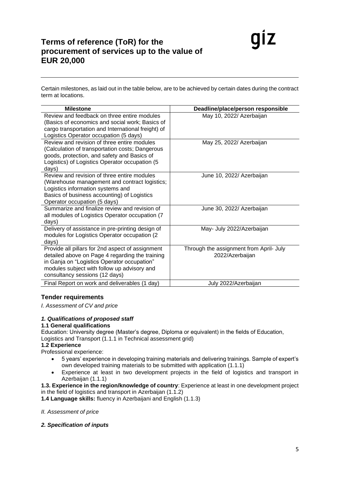Certain milestones, as laid out in the table below, are to be achieved by certain dates during the contract term at locations.

| <b>Milestone</b>                                                                                                                                                                                                                    | Deadline/place/person responsible                          |
|-------------------------------------------------------------------------------------------------------------------------------------------------------------------------------------------------------------------------------------|------------------------------------------------------------|
| Review and feedback on three entire modules<br>(Basics of economics and social work; Basics of<br>cargo transportation and International freight) of<br>Logistics Operator occupation (5 days)                                      | May 10, 2022/ Azerbaijan                                   |
| Review and revision of three entire modules<br>(Calculation of transportation costs; Dangerous<br>goods, protection, and safety and Basics of<br>Logistics) of Logistics Operator occupation (5<br>days)                            | May 25, 2022/ Azerbaijan                                   |
| Review and revision of three entire modules<br>(Warehouse management and contract logistics;<br>Logistics information systems and<br>Basics of business accounting) of Logistics<br>Operator occupation (5 days)                    | June 10, 2022/ Azerbaijan                                  |
| Summarize and finalize review and revision of<br>all modules of Logistics Operator occupation (7<br>days)                                                                                                                           | June 30, 2022/ Azerbaijan                                  |
| Delivery of assistance in pre-printing design of<br>modules for Logistics Operator occupation (2)<br>days)                                                                                                                          | May- July 2022/Azerbaijan                                  |
| Provide all pillars for 2nd aspect of assignment<br>detailed above on Page 4 regarding the training<br>in Ganja on "Logistics Operator occupation"<br>modules subject with follow up advisory and<br>consultancy sessions (12 days) | Through the assignment from April- July<br>2022/Azerbaijan |
| Final Report on work and deliverables (1 day)                                                                                                                                                                                       | July 2022/Azerbaijan                                       |

# <span id="page-4-0"></span>**Tender requirements**

*I. Assessment of CV and price*

## <span id="page-4-1"></span>*1. Qualifications of proposed staff*

#### **1.1 General qualifications**

Education: University degree (Master's degree, Diploma or equivalent) in the fields of Education, Logistics and Transport (1.1.1 in Technical assessment grid)

#### **1.2 Experience**

Professional experience:

- 5 years' experience in developing training materials and delivering trainings. Sample of expert's own developed training materials to be submitted with application (1.1.1)
- Experience at least in two development projects in the field of logistics and transport in Azerbaijan (1.1.1)

**1.3. Experience in the region/knowledge of country**: Experience at least in one development project in the field of logistics and transport in Azerbaijan (1.1.2)

**1.4 Language skills:** fluency in Azerbaijani and English (1.1.3)

#### *II. Assessment of price*

## <span id="page-4-2"></span>*2. Specification of inputs*